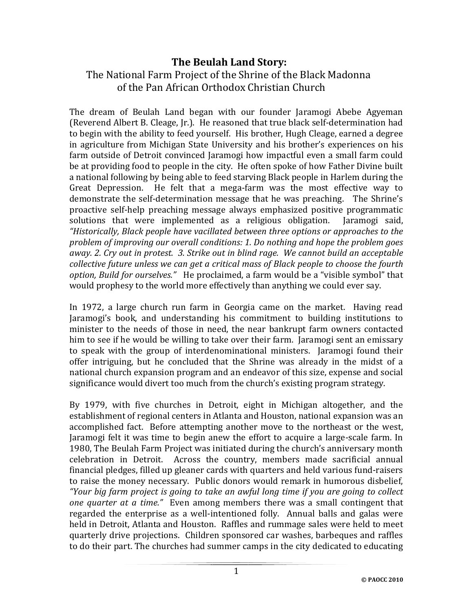## **The Beulah Land Story:**

## The National Farm Project of the Shrine of the Black Madonna of the Pan African Orthodox Christian Church

The dream of Beulah Land began with our founder Jaramogi Abebe Agyeman (Reverend Albert B. Cleage, Jr.). He reasoned that true black self-determination had to begin with the ability to feed yourself. His brother, Hugh Cleage, earned a degree in agriculture from Michigan State University and his brother's experiences on his farm outside of Detroit convinced Jaramogi how impactful even a small farm could be at providing food to people in the city. He often spoke of how Father Divine built a national following by being able to feed starving Black people in Harlem during the Great Depression. He felt that a mega-farm was the most effective way to demonstrate the self-determination message that he was preaching. The Shrine's proactive self-help preaching message always emphasized positive programmatic solutions that were implemented as a religious obligation. Jaramogi said, *"Historically, Black people have vacillated between three options or approaches to the problem of improving our overall conditions: 1. Do nothing and hope the problem goes away. 2. Cry out in protest. 3. Strike out in blind rage. We cannot build an acceptable collective future unless we can get a critical mass of Black people to choose the fourth option, Build for ourselves."* He proclaimed, a farm would be a "visible symbol" that would prophesy to the world more effectively than anything we could ever say.

In 1972, a large church run farm in Georgia came on the market. Having read Jaramogi's book, and understanding his commitment to building institutions to minister to the needs of those in need, the near bankrupt farm owners contacted him to see if he would be willing to take over their farm. Jaramogi sent an emissary to speak with the group of interdenominational ministers. Jaramogi found their offer intriguing, but he concluded that the Shrine was already in the midst of a national church expansion program and an endeavor of this size, expense and social significance would divert too much from the church's existing program strategy.

By 1979, with five churches in Detroit, eight in Michigan altogether, and the establishment of regional centers in Atlanta and Houston, national expansion was an accomplished fact. Before attempting another move to the northeast or the west, Jaramogi felt it was time to begin anew the effort to acquire a large-scale farm. In 1980, The Beulah Farm Project was initiated during the church's anniversary month celebration in Detroit. Across the country, members made sacrificial annual financial pledges, filled up gleaner cards with quarters and held various fund-raisers to raise the money necessary. Public donors would remark in humorous disbelief, *"Your big farm project is going to take an awful long time if you are going to collect one quarter at a time."* Even among members there was a small contingent that regarded the enterprise as a well-intentioned folly. Annual balls and galas were held in Detroit, Atlanta and Houston. Raffles and rummage sales were held to meet quarterly drive projections. Children sponsored car washes, barbeques and raffles to do their part. The churches had summer camps in the city dedicated to educating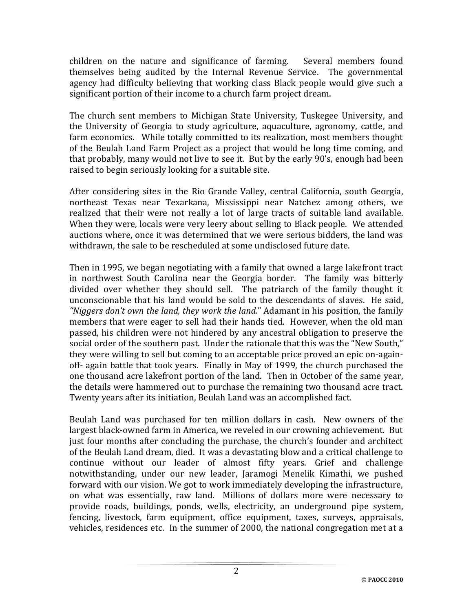children on the nature and significance of farming. Several members found themselves being audited by the Internal Revenue Service. The governmental agency had difficulty believing that working class Black people would give such a significant portion of their income to a church farm project dream.

The church sent members to Michigan State University, Tuskegee University, and the University of Georgia to study agriculture, aquaculture, agronomy, cattle, and farm economics. While totally committed to its realization, most members thought of the Beulah Land Farm Project as a project that would be long time coming, and that probably, many would not live to see it. But by the early 90's, enough had been raised to begin seriously looking for a suitable site.

After considering sites in the Rio Grande Valley, central California, south Georgia, northeast Texas near Texarkana, Mississippi near Natchez among others, we realized that their were not really a lot of large tracts of suitable land available. When they were, locals were very leery about selling to Black people. We attended auctions where, once it was determined that we were serious bidders, the land was withdrawn, the sale to be rescheduled at some undisclosed future date.

Then in 1995, we began negotiating with a family that owned a large lakefront tract in northwest South Carolina near the Georgia border. The family was bitterly divided over whether they should sell. The patriarch of the family thought it unconscionable that his land would be sold to the descendants of slaves. He said, *"Niggers don't own the land, they work the land.*" Adamant in his position, the family members that were eager to sell had their hands tied. However, when the old man passed, his children were not hindered by any ancestral obligation to preserve the social order of the southern past. Under the rationale that this was the "New South," they were willing to sell but coming to an acceptable price proved an epic on-againoff- again battle that took years. Finally in May of 1999, the church purchased the one thousand acre lakefront portion of the land. Then in October of the same year, the details were hammered out to purchase the remaining two thousand acre tract. Twenty years after its initiation, Beulah Land was an accomplished fact.

Beulah Land was purchased for ten million dollars in cash. New owners of the largest black-owned farm in America, we reveled in our crowning achievement. But just four months after concluding the purchase, the church's founder and architect of the Beulah Land dream, died. It was a devastating blow and a critical challenge to continue without our leader of almost fifty years. Grief and challenge notwithstanding, under our new leader, Jaramogi Menelik Kimathi, we pushed forward with our vision. We got to work immediately developing the infrastructure, on what was essentially, raw land. Millions of dollars more were necessary to provide roads, buildings, ponds, wells, electricity, an underground pipe system, fencing, livestock, farm equipment, office equipment, taxes, surveys, appraisals, vehicles, residences etc. In the summer of 2000, the national congregation met at a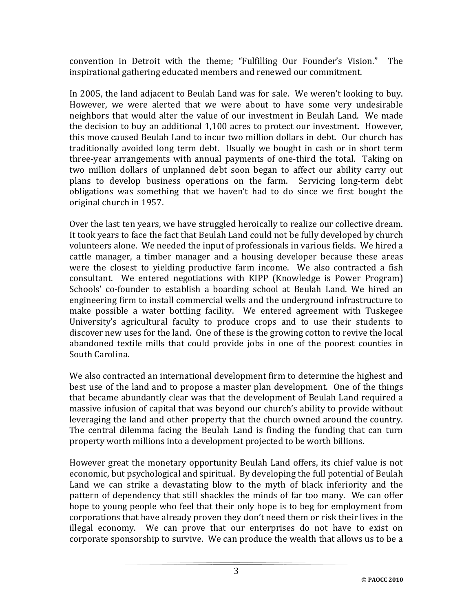convention in Detroit with the theme; "Fulfilling Our Founder's Vision." The inspirational gathering educated members and renewed our commitment.

In 2005, the land adjacent to Beulah Land was for sale. We weren't looking to buy. However, we were alerted that we were about to have some very undesirable neighbors that would alter the value of our investment in Beulah Land. We made the decision to buy an additional 1,100 acres to protect our investment. However, this move caused Beulah Land to incur two million dollars in debt. Our church has traditionally avoided long term debt. Usually we bought in cash or in short term three-year arrangements with annual payments of one-third the total. Taking on two million dollars of unplanned debt soon began to affect our ability carry out plans to develop business operations on the farm. Servicing long-term debt obligations was something that we haven't had to do since we first bought the original church in 1957.

Over the last ten years, we have struggled heroically to realize our collective dream. It took years to face the fact that Beulah Land could not be fully developed by church volunteers alone. We needed the input of professionals in various fields. We hired a cattle manager, a timber manager and a housing developer because these areas were the closest to yielding productive farm income. We also contracted a fish consultant. We entered negotiations with KIPP (Knowledge is Power Program) Schools' co-founder to establish a boarding school at Beulah Land. We hired an engineering firm to install commercial wells and the underground infrastructure to make possible a water bottling facility. We entered agreement with Tuskegee University's agricultural faculty to produce crops and to use their students to discover new uses for the land. One of these is the growing cotton to revive the local abandoned textile mills that could provide jobs in one of the poorest counties in South Carolina.

We also contracted an international development firm to determine the highest and best use of the land and to propose a master plan development. One of the things that became abundantly clear was that the development of Beulah Land required a massive infusion of capital that was beyond our church's ability to provide without leveraging the land and other property that the church owned around the country. The central dilemma facing the Beulah Land is finding the funding that can turn property worth millions into a development projected to be worth billions.

However great the monetary opportunity Beulah Land offers, its chief value is not economic, but psychological and spiritual. By developing the full potential of Beulah Land we can strike a devastating blow to the myth of black inferiority and the pattern of dependency that still shackles the minds of far too many. We can offer hope to young people who feel that their only hope is to beg for employment from corporations that have already proven they don't need them or risk their lives in the illegal economy. We can prove that our enterprises do not have to exist on corporate sponsorship to survive. We can produce the wealth that allows us to be a